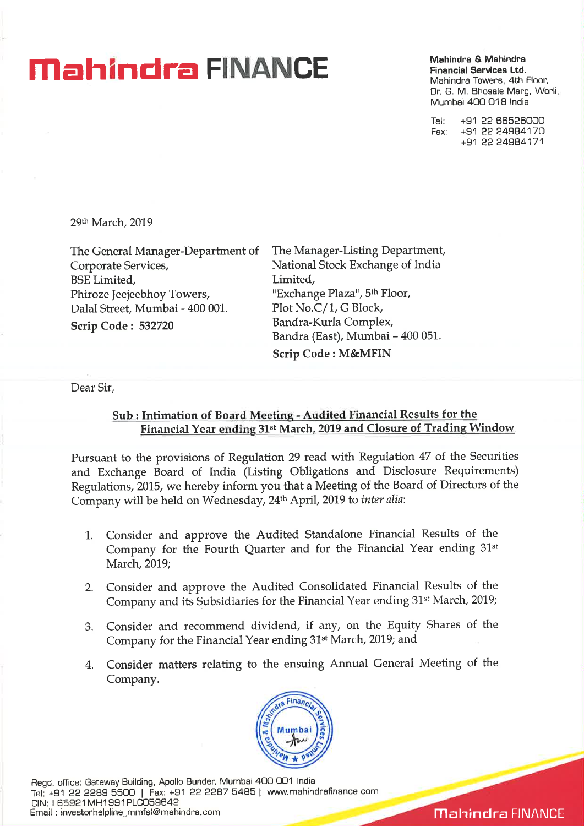## **Mahindra CITANCE** Mahindra & Mahindra **C**

**Financial Services Ltd.**  Mahindra Towers, 4th Floor, Dr. G. M. Bhosale Marg, Worli, Mumbai 400 018 India

Tel: +91 22 66526000 Fax: +91 22 24984170 +91 22 24984171

29th March, 2019

The General Manager-Department of Corporate Services, BSE Limited, Phiroze Jeejeebhoy Towers, Dalal Street, Mumbai - 400 001. **Scrip Code : 532720** 

The Manager-Listing Department, National Stock Exchange of India Limited, "Exchange Plaza", 5th Floor, Plot No.C/1, G Block, Bandra-Kurla Complex, Bandra (East), Mumbai - 400 051. **Scrip Code : M&MFIN** 

Dear Sir,

## **Sub : Intimation of Board Meeting - Audited Financial Results for the Financial Year ending 31st March, 2019 and Closure of Trading Window**

**Pursuant to the provisions of Regulation 29 read with Regulation 47** of the Securities and Exchange Board of India (Listing Obligations and Disclosure Requirements) Regulations, 2015, we hereby inform you that a Meeting of the Board of Directors of the Company will be held on Wednesday, 24<sup>th</sup> April, 2019 to *inter alia*:

- 1. Consider and approve the Audited Standalone Financial Results of the Company for the Fourth Quarter and for the Financial Year ending 31st March, 2019;
- 2. Consider and approve the Audited Consolidated Financial Results of the Company and its Subsidiaries for the Financial Year ending 31st March, 2019;
- 3. Consider and recommend dividend, if any, on the Equity Shares of the Company for the Financial Year ending 31st March, 2019; and
- 4. Consider matters relating to the ensuing Annual General Meeting of the Company.



Regd. office: Gateway Building, Apollo Bunder, Mumbai 400 001 India Tel: +91 22 2289 5500 | Fax: +91 22 2287 5485 | www.mahindrafinance.com CIN: L65921MH1991PLC059642 Email : investorhelpline\_mmfsl@mahindra.com

**Mahindra FINANCE**